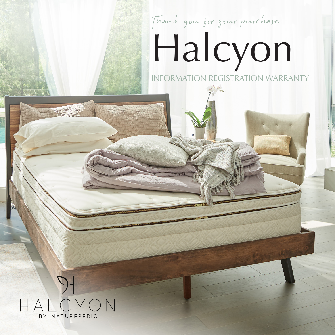# Halcyon Thank you for your purchase INFORMATION REGISTRATION WARRANTY

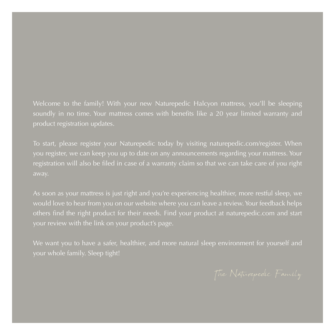Welcome to the family! With your new Naturepedic Halcyon mattress, you'll be sleeping product registration updates.

To start, please register your Naturepedic today by visiting naturepedic.com/register. When you register, we can keep you up to date on any announcements regarding your mattress. Your registration will also be filed in case of a warranty claim so that we can take care of you right

would love to hear from you on our website where you can leave a review. Your feedback helps your review with the link on your product's page.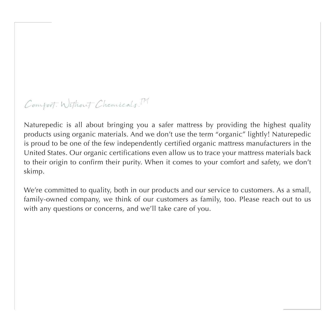### Comfort. Without Chemicals.TM

Naturepedic is all about bringing you a safer mattress by providing the highest quality products using organic materials. And we don't use the term "organic" lightly! Naturepedic is proud to be one of the few independently certified organic mattress manufacturers in the United States. Our organic certifications even allow us to trace your mattress materials back to their origin to confirm their purity. When it comes to your comfort and safety, we don't skimp.

We're committed to quality, both in our products and our service to customers. As a small, family-owned company, we think of our customers as family, too. Please reach out to us with any questions or concerns, and we'll take care of you.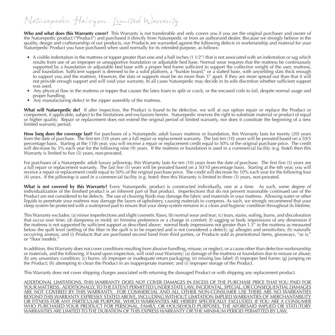### Naturepedic Halcyon Limited Warranty

**Who and what does this Warranty cover?** This Warranty is not transferable and only covers you if you are the original purchaser and owner of the Naturepedic product ("Product") and purchased it directly from Naturepedic or from an authorized dealer. Because we strongly believe in the quality, design and craftsmanship of our products, our Products are warranted against the following defects in workmanship and material for your Naturepedic Product you have purchased when used normally for its intended purpose, as follows:

- $\bullet$  A visible indentation in the mattress or topper greater than one and a half inches (1 1/2") that is not associated with an indentation or sag which results from use of an improper or unsupportive foundation or adjustable bed base. Normal wear requires that the mattress be continuously supported by a foundation or adjustable bed base with a proper bed frame sufficient to support the collective weight of the user, mattress, and foundation. Sufficient support is deemed to be a solid platform, a "bunkie board," or a slatted base, with unyielding slats thick enough to support you and the mattress. However, the slats or supports must be no more than 3" apart. If they are more spread out than that it will not provide enough support and will void your warranty. In all cases Naturepedic may decide in its sole discretion whether sufficient support was used.
- Any physical flaw in the mattress or topper that causes the latex foam to split or crack, or the encased coils to fail, despite normal usage and proper handling.
- Any manufacturing defect in the zipper assembly of the mattress.

What will Naturepedic do? If after inspection, the Product is found to be defective, we will at our option repair or replace the Product or component, if applicable, subject to the limitations and exclusions herein. Naturepedic reserves the right to substitute material or product of equal or higher quality. Repair or replacement does not extend the original period of limited warranty, nor does it constitute the beginning of a new limited warranty period.

How long does the coverage last? For purchases of a Naturepedic adult luxury mattress or foundation, this Warranty lasts for twenty (20) years from the date of purchase. The first ten (10) years are a full repair or replacement warranty. The last ten (10) years will be prorated based on a 50/5 percentage basis. Starting at the 11th year, you will receive a repair or replacement credit equal to 50% of the original purchase price. The credit will decrease by 5% each year for the following nine (9) years. If the mattress or foundation is used in a commercial facility (e.g. hotel) then this Warranty is limited to five (5) years, non-prorated.

For purchases of a Naturepedic adult luxury pillowtop, this Warranty lasts for ten (10) years from the date of purchase. The first five (5) years are a full repair or replacement warranty. The last five (5) years will be prorated based on a 50/10 percentage basis. Starting at the 6th year, you will receive a repair or replacement credit equal to 50% of the original purchase price. The credit will decrease by 10% each year for the following four (4) years. If the pillowtop is used in a commercial facility (e.g. hotel) then this Warranty is limited to three  $(3)$  years, non-prorated.

**What is not covered by this Warranty?** Every Naturepedic product is constructed individually, one at a time. As such, some degree of individualization of the finished product is an inherent part of that product. Imperfections that do not prevent reasonable continued use of the Product are not considered to be defects. The use of cleaning fluids may damage the fabric and materials in your mattress. Allowing water or other liquids to penetrate your mattress may damage the layers of upholstery, causing materials to compress. As such, we strongly recommend that your sleep system be protected with a waterproof pad to ensure that your sleep system remains in a clean and hygienic condition throughout its lifetime.

This Warranty excludes: (a) minor imperfections and slight cosmetic flaws; (b) normal wear and tear; (c) tears, stains, soiling, burns, and discoloration that occur over time; (d) dampness or mold; (e) firmness preference or a change in comfort; (f) sagging or body impressions of any dimension if the mattress is not supported by sufficient support as described above; normal body impressions not greater than 1.5" in the mattress as measured below the quilt level (settling of the fiber in the quilt is to be expected and is not considered a defect); (g) allergies and sensitivities; (h) naturally occurring aromas; and (i) Products that are purchased second hand from third parties, or Products sold as promotional items, giveaways, "as is," or "floor models."

In addition, this Warranty does not cover conditions resulting from abusive handling, misuse, or neglect, or a cause other than defective workmanship or materials, and the following, if found upon inspection, will void your Warranty: (a) damage of the mattress or foundation due to misuse or abuse; (b) any unsanitary condition; (c) burns; (d) improper or inadequate return packaging; (e) missing law label; (f) improper bed frame; (g) jumping on the Product; (h) attempting to clean the Product in an inappropriate manner; and (i) improper storage of the Product.

This Warranty does not cover shipping charges associated with returning the damaged Product or with shipping any replacement product.

ADDITIONAL LIMITATIONS. THIS WARRANTY DOES NOT COVER DAMAGES IN EXCESS OF THE PURCHASE PRICE THAT YOU PAID FOR YOUR MATTRESS. ADDITIONALLY, TO THE EXTENT PERMITTED UNDER STATE LAW, INCIDENTAL, SPECIAL, OR CONSEQUENTIAL DAMAGES ARE NOT COVERED BY THIS WARRANTY. FOR COMMERCIAL AND ALL OTHER NON-CONSUMER USE THERE ARE NO WARRANTIES BEYOND THIS WARRANTY EXPRESSLY STATED ABOVE, INCLUDING WITHOUT LIMITATION IMPLIED WARRANTIES OF MERCHANTABILITY OR FITNESS FOR ANY PARTICULAR PURPOSE, WHICH WARRANTIES ARE HEREBY SPECIFICALLY EXCLUDED. IF YOU ARE A CONSUMER WHO PURCHASED YOUR PRODUCT FOR PERSONAL, FAMILY, OR HOUSEHOLD PURPOSES, THE AFORESAID IMPLIED OR STATUTORY WARRANTIES ARE LIMITED TO THE DURATION OF THIS EXPRESS WARRANTY OR THE MINIMUM PERIOD PERMITTED BY LAW.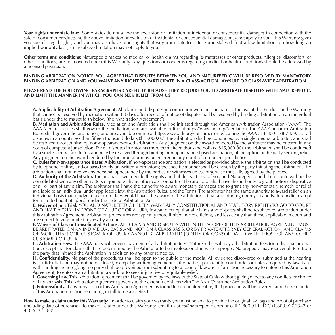**Your rights under state law:** Some states do not allow the exclusion or limitation of incidental or consequential damages in connection with the sale of consumer products, so the above limitation or exclusion of incidental or consequential damages may not apply to you. This Warranty gives you specific legal rights, and you may also have other rights that vary from state to state. Some states do not allow limitations on how long an implied warranty lasts, so the above limitation may not apply to you.

**Other terms and conditions:** Naturepedic makes no medical or health claims regarding its mattresses or other products. Allergies, discomfort, or other conditions, are not covered under this Warranty. Any questions or concerns regarding medical or health conditions should be addressed by a licensed physician.

#### **BINDING ARBITRATION NOTICE: YOU AGREE THAT DISPUTES BETWEEN YOU AND NATUREPEDIC WILL BE RESOLVED BY MANDATORY BINDING ARBITRATION AND YOU WAIVE ANY RIGHT TO PARTICIPATE IN A CLASS-ACTION LAWSUIT OR CLASS-WIDE ARBITRATION**

#### **PLEASE READ THE FOLLOWING PARAGRAPHS CAREFULLY BECAUSE THEY REQUIRE YOU TO ARBITRATE DISPUTES WITH NATUREPEDIC, AND LIMIT THE MANNER IN WHICH YOU CAN SEEK RELIEF FROM US**

**A. Applicability of Arbitration Agreement.** All claims and disputes in connection with the purchase or the use of this Product or the Warranty that cannot be resolved by mediation within 60 days after receipt of notice of dispute shall be resolved by binding arbitration on an individual basis under the terms set forth below (the "Arbitration Agreement").

**B. Mediation and Arbitration Rules.** Mediation and Arbitration shall be initiated through the American Arbitration Association ("AAA"). The AAA Mediation rules shall govern the mediation, and are available online at https://www.adr.org/Mediation. The AAA Consumer Arbitration Rules shall govern the arbitration, and are available online at http://www.adr.org/consumer or by calling the AAA at 1-800-778-7879. For all disputes in amounts less than fifteen thousand dollars (\$15,000.00), the arbitration shall be conducted by a single, neutral arbitrator, and shall be resolved through binding non-appearance-based arbitration. Any judgment on the award rendered by the arbitrator may be entered in any court of competent jurisdiction. For all disputes in amounts more than fifteen thousand dollars (\$15,000.00), the arbitration shall be conducted by a single, neutral arbitrator, and may be resolved through binding non-appearance-based arbitration, at the option of the party seeking relief. Any judgment on the award rendered by the arbitrator may be entered in any court of competent jurisdiction.

**C. Rules for Non-appearance Based Arbitration.** If non-appearance arbitration is elected as provided above, the arbitration shall be conducted by telephone, online, and/or based solely on written submissions; the specific manner shall be chosen by the party initiating the arbitration. The arbitration shall not involve any personal appearance by the parties or witnesses unless otherwise mutually agreed by the parties.

**D. Authority of the Arbitrator.** The arbitrator will decide the rights and liabilities, if any, of you and Naturepedic, and the dispute will not be consolidated with any other matters or joined with any other cases or parties. The arbitrator shall have the authority to grant motions dispositive of all or part of any claim. The arbitrator shall have the authority to award monetary damages and to grant any non-monetary remedy or relief available to an individual under applicable law, the Arbitration Rules, and the Terms. The arbitrator has the same authority to award relief on an individual basis that a judge in a court of law would have. The award of the arbitrator is final and binding upon you and Naturepedic, except for a limited right of appeal under the Federal Arbitration Act.

**E. Waiver of Jury Trial.** YOU AND NATUREPEDIC HEREBY WAIVE ANY CONSTITUTIONAL AND STATUTORY RIGHTS TO GO TO COURT AND HAVE A TRIAL IN FRONT OF A JUDGE OR A JURY, instead electing that all claims and disputes shall be resolved by arbitration under this Arbitration Agreement. Arbitration procedures are typically more limited, more efficient, and less costly than those applicable in court and are subject to very limited review by a court.

**F. Waiver of Class or Consolidated Actions.** ALL CLAIMS AND DISPUTES WITHIN THE SCOPE OF THIS ARBITRATION AGREEMENT MUST BE ARBITRATED ON AN INDIVIDUAL BASIS AND NOT ON A CLASS BASIS, OR BY PRIVATE ATTORNEY GENERAL ACTION, AND CLAIMS OF MORE THAN ONE CUSTOMER OR USER CANNOT BE ARBITRATED JOINTLY OR CONSOLIDATED WITH THOSE OF ANY OTHER CUSTOMER OR USER.

**G. Arbitration Fees.** The AAA rules will govern payment of all arbitration fees. Naturepedic will pay all arbitration fees for individual arbitration, except that for claims that are determined by the Arbitrator to be frivolous or otherwise improper, Naturepedic may recover all fees from the party that initiated the Arbitration in addition to any other remedies.

**H. Confidentiality.** No part of the procedures shall be open to the public or the media. All evidence discovered or submitted at the hearing is confidential and may not be disclosed, except by written agreement of the parties, pursuant to court order or unless required by law. Notwithstanding the foregoing, no party shall be prevented from submitting to a court of law any information necessary to enforce this Arbitration Agreement, to enforce an arbitration award, or to seek injunctive or equitable relief.

**I. Governing Law.** This Arbitration Agreement shall be governed by the laws of the State of Ohio without giving effect to any conflicts or choice of law analysis. This Arbitration Agreement governs to the extent it conflicts with The AAA Consumer Arbitration Rules.

**J. Enforceability.** If any provision of this Arbitration Agreement is found to be unenforceable, that provision will be severed, and the remainder of this Arbitration section remaining in full force and effect.

**How to make a claim under this Warranty:** In order to claim your warranty you must be able to provide the original law tags and proof of purchase (including date of purchase). To make a claim under this Warranty, email us at cs@naturepedic.com or call 1.800.91.PEDIC (1.800.917.3342 or 440.543.1483).